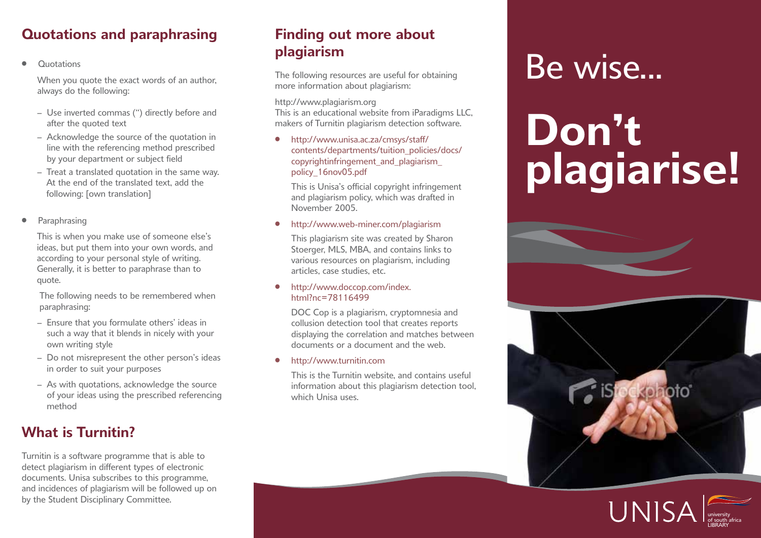# **Quotations and paraphrasing**

• Quotations

When you quote the exact words of an author. always do the following:

- Use inverted commas (") directly before and after the quoted text
- Acknowledge the source of the quotation in line with the referencing method prescribed by your department or subject field
- Treat a translated quotation in the same way. At the end of the translated text, add the following: [own translation]
- **Paraphrasing**

 This is when you make use of someone else's ideas, but put them into your own words, and according to your personal style of writing. Generally, it is better to paraphrase than to quote.

 The following needs to be remembered when paraphrasing:

- Ensure that you formulate others' ideas in such a way that it blends in nicely with your own writing style
- Do not misrepresent the other person's ideas in order to suit your purposes
- As with quotations, acknowledge the source of your ideas using the prescribed referencing method

# **What is Turnitin?**

Turnitin is a software programme that is able to detect plagiarism in different types of electronic documents. Unisa subscribes to this programme, and incidences of plagiarism will be followed up on by the Student Disciplinary Committee.

# **Finding out more about plagiarism**

The following resources are useful for obtaining more information about plagiarism:

#### http://www.plagiarism.org

This is an educational website from iParadigms LLC, makers of Turnitin plagiarism detection software.

• http://www.unisa.ac.za/cmsys/staff/ contents/departments/tuition\_policies/docs/ copyrightinfringement\_and\_plagiarism\_ policy\_16nov05.pdf

This is Unisa's official copyright infringement and plagiarism policy, which was drafted in November 2005.

#### • http://www.web-miner.com/plagiarism

This plagiarism site was created by Sharon Stoerger, MLS, MBA, and contains links to various resources on plagiarism, including articles, case studies, etc.

#### • http://www.doccop.com/index. html?nc=78116499

DOC Cop is a plagiarism, cryptomnesia and collusion detection tool that creates reports displaying the correlation and matches between documents or a document and the web.

#### • http://www.turnitin.com

This is the Turnitin website, and contains useful information about this plagiarism detection tool, which Unisa uses.

# Be wise...

# **Don't plagiarise!**